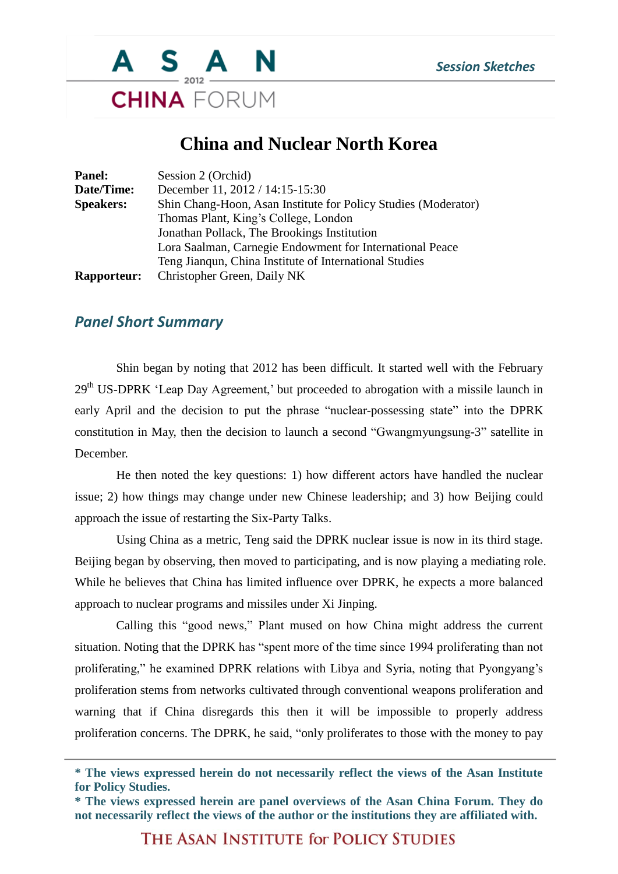

## **China and Nuclear North Korea**

| <b>Panel:</b>      | Session 2 (Orchid)                                             |
|--------------------|----------------------------------------------------------------|
| Date/Time:         | December 11, 2012 / 14:15-15:30                                |
| <b>Speakers:</b>   | Shin Chang-Hoon, Asan Institute for Policy Studies (Moderator) |
|                    | Thomas Plant, King's College, London                           |
|                    | Jonathan Pollack, The Brookings Institution                    |
|                    | Lora Saalman, Carnegie Endowment for International Peace       |
|                    | Teng Jiangun, China Institute of International Studies         |
| <b>Rapporteur:</b> | Christopher Green, Daily NK                                    |

## *Panel Short Summary*

Shin began by noting that 2012 has been difficult. It started well with the February 29<sup>th</sup> US-DPRK 'Leap Day Agreement,' but proceeded to abrogation with a missile launch in early April and the decision to put the phrase "nuclear-possessing state" into the DPRK constitution in May, then the decision to launch a second "Gwangmyungsung-3" satellite in December.

He then noted the key questions: 1) how different actors have handled the nuclear issue; 2) how things may change under new Chinese leadership; and 3) how Beijing could approach the issue of restarting the Six-Party Talks.

Using China as a metric, Teng said the DPRK nuclear issue is now in its third stage. Beijing began by observing, then moved to participating, and is now playing a mediating role. While he believes that China has limited influence over DPRK, he expects a more balanced approach to nuclear programs and missiles under Xi Jinping.

Calling this "good news," Plant mused on how China might address the current situation. Noting that the DPRK has "spent more of the time since 1994 proliferating than not proliferating," he examined DPRK relations with Libya and Syria, noting that Pyongyang's proliferation stems from networks cultivated through conventional weapons proliferation and warning that if China disregards this then it will be impossible to properly address proliferation concerns. The DPRK, he said, "only proliferates to those with the money to pay

THE ASAN INSTITUTE for POLICY STUDIES

**<sup>\*</sup> The views expressed herein do not necessarily reflect the views of the Asan Institute for Policy Studies.**

**<sup>\*</sup> The views expressed herein are panel overviews of the Asan China Forum. They do not necessarily reflect the views of the author or the institutions they are affiliated with.**